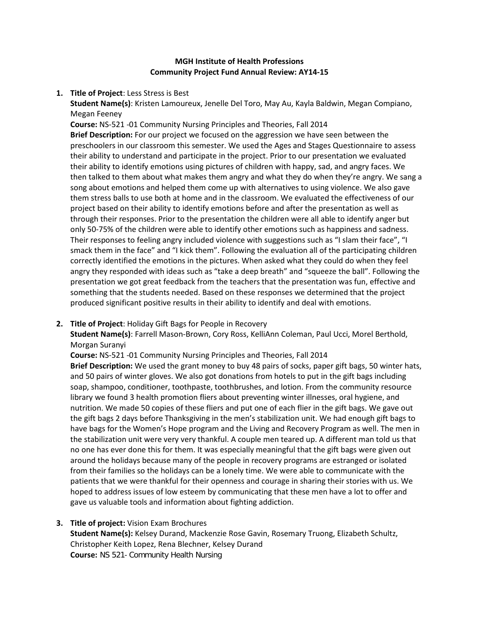### **MGH Institute of Health Professions Community Project Fund Annual Review: AY14-15**

**1. Title of Project**: Less Stress is Best

**Student Name(s)**: Kristen Lamoureux, Jenelle Del Toro, May Au, Kayla Baldwin, Megan Compiano, Megan Feeney

**Course:** NS-521 -01 Community Nursing Principles and Theories, Fall 2014 **Brief Description:** For our project we focused on the aggression we have seen between the preschoolers in our classroom this semester. We used the Ages and Stages Questionnaire to assess their ability to understand and participate in the project. Prior to our presentation we evaluated their ability to identify emotions using pictures of children with happy, sad, and angry faces. We then talked to them about what makes them angry and what they do when they're angry. We sang a song about emotions and helped them come up with alternatives to using violence. We also gave them stress balls to use both at home and in the classroom. We evaluated the effectiveness of our project based on their ability to identify emotions before and after the presentation as well as through their responses. Prior to the presentation the children were all able to identify anger but only 50-75% of the children were able to identify other emotions such as happiness and sadness. Their responses to feeling angry included violence with suggestions such as "I slam their face", "I smack them in the face" and "I kick them". Following the evaluation all of the participating children correctly identified the emotions in the pictures. When asked what they could do when they feel angry they responded with ideas such as "take a deep breath" and "squeeze the ball". Following the presentation we got great feedback from the teachers that the presentation was fun, effective and something that the students needed. Based on these responses we determined that the project produced significant positive results in their ability to identify and deal with emotions.

### **2. Title of Project**: Holiday Gift Bags for People in Recovery

**Student Name(s)**: Farrell Mason-Brown, Cory Ross, KelliAnn Coleman, Paul Ucci, Morel Berthold, Morgan Suranyi

**Course:** NS-521 -01 Community Nursing Principles and Theories, Fall 2014

**Brief Description:** We used the grant money to buy 48 pairs of socks, paper gift bags, 50 winter hats, and 50 pairs of winter gloves. We also got donations from hotels to put in the gift bags including soap, shampoo, conditioner, toothpaste, toothbrushes, and lotion. From the community resource library we found 3 health promotion fliers about preventing winter illnesses, oral hygiene, and nutrition. We made 50 copies of these fliers and put one of each flier in the gift bags. We gave out the gift bags 2 days before Thanksgiving in the men's stabilization unit. We had enough gift bags to have bags for the Women's Hope program and the Living and Recovery Program as well. The men in the stabilization unit were very very thankful. A couple men teared up. A different man told us that no one has ever done this for them. It was especially meaningful that the gift bags were given out around the holidays because many of the people in recovery programs are estranged or isolated from their families so the holidays can be a lonely time. We were able to communicate with the patients that we were thankful for their openness and courage in sharing their stories with us. We hoped to address issues of low esteem by communicating that these men have a lot to offer and gave us valuable tools and information about fighting addiction.

**3. Title of project:** Vision Exam Brochures **Student Name(s):** Kelsey Durand, Mackenzie Rose Gavin, Rosemary Truong, Elizabeth Schultz, Christopher Keith Lopez, Rena Blechner, Kelsey Durand **Course:** NS 521- Community Health Nursing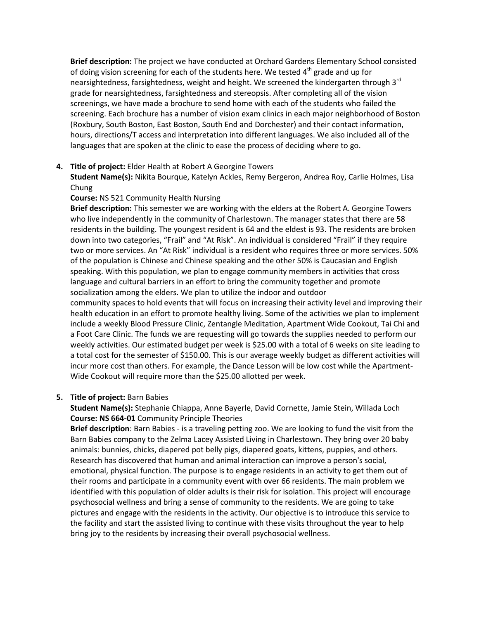**Brief description:** The project we have conducted at Orchard Gardens Elementary School consisted of doing vision screening for each of the students here. We tested  $4<sup>th</sup>$  grade and up for nearsightedness, farsightedness, weight and height. We screened the kindergarten through 3<sup>rd</sup> grade for nearsightedness, farsightedness and stereopsis. After completing all of the vision screenings, we have made a brochure to send home with each of the students who failed the screening. Each brochure has a number of vision exam clinics in each major neighborhood of Boston (Roxbury, South Boston, East Boston, South End and Dorchester) and their contact information, hours, directions/T access and interpretation into different languages. We also included all of the languages that are spoken at the clinic to ease the process of deciding where to go.

### **4. Title of project:** Elder Health at Robert A Georgine Towers

**Student Name(s):** Nikita Bourque, Katelyn Ackles, Remy Bergeron, Andrea Roy, Carlie Holmes, Lisa Chung

### **Course:** NS 521 Community Health Nursing

**Brief description:** This semester we are working with the elders at the Robert A. Georgine Towers who live independently in the community of Charlestown. The manager states that there are 58 residents in the building. The youngest resident is 64 and the eldest is 93. The residents are broken down into two categories, "Frail" and "At Risk". An individual is considered "Frail" if they require two or more services. An "At Risk" individual is a resident who requires three or more services. 50% of the population is Chinese and Chinese speaking and the other 50% is Caucasian and English speaking. With this population, we plan to engage community members in activities that cross language and cultural barriers in an effort to bring the community together and promote socialization among the elders. We plan to utilize the indoor and outdoor

community spaces to hold events that will focus on increasing their activity level and improving their health education in an effort to promote healthy living. Some of the activities we plan to implement include a weekly Blood Pressure Clinic, Zentangle Meditation, Apartment Wide Cookout, Tai Chi and a Foot Care Clinic. The funds we are requesting will go towards the supplies needed to perform our weekly activities. Our estimated budget per week is \$25.00 with a total of 6 weeks on site leading to a total cost for the semester of \$150.00. This is our average weekly budget as different activities will incur more cost than others. For example, the Dance Lesson will be low cost while the Apartment-Wide Cookout will require more than the \$25.00 allotted per week.

### **5. Title of project:** Barn Babies

**Student Name(s):** Stephanie Chiappa, Anne Bayerle, David Cornette, Jamie Stein, Willada Loch **Course: NS 664-01** Community Principle Theories

**Brief description**: Barn Babies - is a traveling petting zoo. We are looking to fund the visit from the Barn Babies company to the Zelma Lacey Assisted Living in Charlestown. They bring over 20 baby animals: bunnies, chicks, diapered pot belly pigs, diapered goats, kittens, puppies, and others. Research has discovered that human and animal interaction can improve a person's social, emotional, physical function. The purpose is to engage residents in an activity to get them out of their rooms and participate in a community event with over 66 residents. The main problem we identified with this population of older adults is their risk for isolation. This project will encourage psychosocial wellness and bring a sense of community to the residents. We are going to take pictures and engage with the residents in the activity. Our objective is to introduce this service to the facility and start the assisted living to continue with these visits throughout the year to help bring joy to the residents by increasing their overall psychosocial wellness.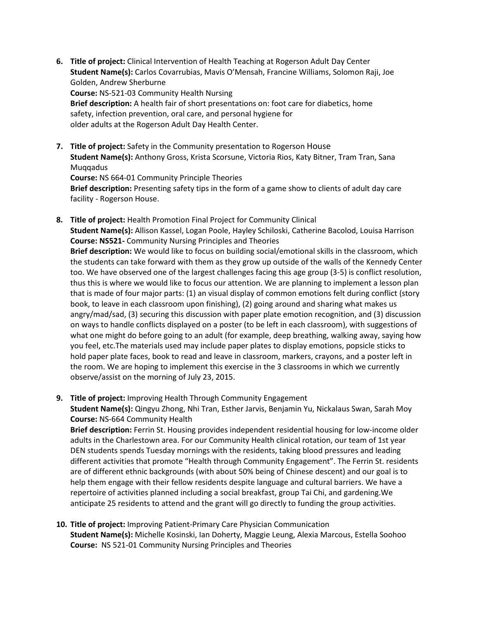- **6. Title of project:** Clinical Intervention of Health Teaching at Rogerson Adult Day Center **Student Name(s):** Carlos Covarrubias, Mavis O'Mensah, Francine Williams, Solomon Raji, Joe Golden, Andrew Sherburne **Course:** NS-521-03 Community Health Nursing **Brief description:** A health fair of short presentations on: foot care for diabetics, home safety, infection prevention, oral care, and personal hygiene for older adults at the Rogerson Adult Day Health Center.
- **7. Title of project:** Safety in the Community presentation to Rogerson House **Student Name(s):** Anthony Gross, Krista Scorsune, Victoria Rios, Katy Bitner, Tram Tran, Sana Muqqadus **Course:** NS 664-01 Community Principle Theories **Brief description:** Presenting safety tips in the form of a game show to clients of adult day care facility - Rogerson House.
- **8. Title of project:** Health Promotion Final Project for Community Clinical **Student Name(s):** Allison Kassel, Logan Poole, Hayley Schiloski, Catherine Bacolod, Louisa Harrison **Course: NS521-** Community Nursing Principles and Theories **Brief description:** We would like to focus on building social/emotional skills in the classroom, which the students can take forward with them as they grow up outside of the walls of the Kennedy Center too. We have observed one of the largest challenges facing this age group (3-5) is conflict resolution, thus this is where we would like to focus our attention. We are planning to implement a lesson plan that is made of four major parts: (1) an visual display of common emotions felt during conflict (story book, to leave in each classroom upon finishing), (2) going around and sharing what makes us angry/mad/sad, (3) securing this discussion with paper plate emotion recognition, and (3) discussion on ways to handle conflicts displayed on a poster (to be left in each classroom), with suggestions of what one might do before going to an adult (for example, deep breathing, walking away, saying how you feel, etc.The materials used may include paper plates to display emotions, popsicle sticks to hold paper plate faces, book to read and leave in classroom, markers, crayons, and a poster left in the room. We are hoping to implement this exercise in the 3 classrooms in which we currently observe/assist on the morning of July 23, 2015.
- **9. Title of project:** Improving Health Through Community Engagement **Student Name(s):** Qingyu Zhong, Nhi Tran, Esther Jarvis, Benjamin Yu, Nickalaus Swan, Sarah Moy **Course:** NS-664 Community Health

**Brief description:** Ferrin St. Housing provides independent residential housing for low-income older adults in the Charlestown area. For our Community Health clinical rotation, our team of 1st year DEN students spends Tuesday mornings with the residents, taking blood pressures and leading different activities that promote "Health through Community Engagement". The Ferrin St. residents are of different ethnic backgrounds (with about 50% being of Chinese descent) and our goal is to help them engage with their fellow residents despite language and cultural barriers. We have a repertoire of activities planned including a social breakfast, group Tai Chi, and gardening.We anticipate 25 residents to attend and the grant will go directly to funding the group activities.

**10. Title of project:** Improving Patient-Primary Care Physician Communication **Student Name(s):** Michelle Kosinski, Ian Doherty, Maggie Leung, Alexia Marcous, Estella Soohoo **Course:** NS 521-01 Community Nursing Principles and Theories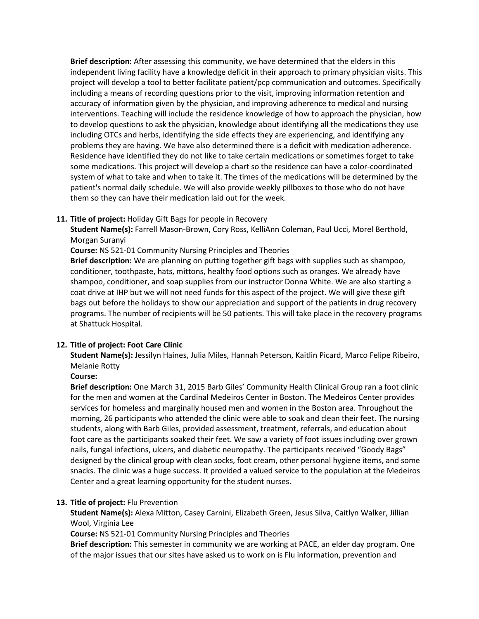**Brief description:** After assessing this community, we have determined that the elders in this independent living facility have a knowledge deficit in their approach to primary physician visits. This project will develop a tool to better facilitate patient/pcp communication and outcomes. Specifically including a means of recording questions prior to the visit, improving information retention and accuracy of information given by the physician, and improving adherence to medical and nursing interventions. Teaching will include the residence knowledge of how to approach the physician, how to develop questions to ask the physician, knowledge about identifying all the medications they use including OTCs and herbs, identifying the side effects they are experiencing, and identifying any problems they are having. We have also determined there is a deficit with medication adherence. Residence have identified they do not like to take certain medications or sometimes forget to take some medications. This project will develop a chart so the residence can have a color-coordinated system of what to take and when to take it. The times of the medications will be determined by the patient's normal daily schedule. We will also provide weekly pillboxes to those who do not have them so they can have their medication laid out for the week.

### **11. Title of project:** Holiday Gift Bags for people in Recovery

**Student Name(s):** Farrell Mason-Brown, Cory Ross, KelliAnn Coleman, Paul Ucci, Morel Berthold, Morgan Suranyi

**Course:** NS 521-01 Community Nursing Principles and Theories

**Brief description:** We are planning on putting together gift bags with supplies such as shampoo, conditioner, toothpaste, hats, mittons, healthy food options such as oranges. We already have shampoo, conditioner, and soap supplies from our instructor Donna White. We are also starting a coat drive at IHP but we will not need funds for this aspect of the project. We will give these gift bags out before the holidays to show our appreciation and support of the patients in drug recovery programs. The number of recipients will be 50 patients. This will take place in the recovery programs at Shattuck Hospital.

# **12. Title of project: Foot Care Clinic**

**Student Name(s):** Jessilyn Haines, Julia Miles, Hannah Peterson, Kaitlin Picard, Marco Felipe Ribeiro, Melanie Rotty

### **Course:**

**Brief description:** One March 31, 2015 Barb Giles' Community Health Clinical Group ran a foot clinic for the men and women at the Cardinal Medeiros Center in Boston. The Medeiros Center provides services for homeless and marginally housed men and women in the Boston area. Throughout the morning, 26 participants who attended the clinic were able to soak and clean their feet. The nursing students, along with Barb Giles, provided assessment, treatment, referrals, and education about foot care as the participants soaked their feet. We saw a variety of foot issues including over grown nails, fungal infections, ulcers, and diabetic neuropathy. The participants received "Goody Bags" designed by the clinical group with clean socks, foot cream, other personal hygiene items, and some snacks. The clinic was a huge success. It provided a valued service to the population at the Medeiros Center and a great learning opportunity for the student nurses.

### **13. Title of project:** Flu Prevention

**Student Name(s):** Alexa Mitton, Casey Carnini, Elizabeth Green, Jesus Silva, Caitlyn Walker, Jillian Wool, Virginia Lee

**Course:** NS 521-01 Community Nursing Principles and Theories

**Brief description:** This semester in community we are working at PACE, an elder day program. One of the major issues that our sites have asked us to work on is Flu information, prevention and